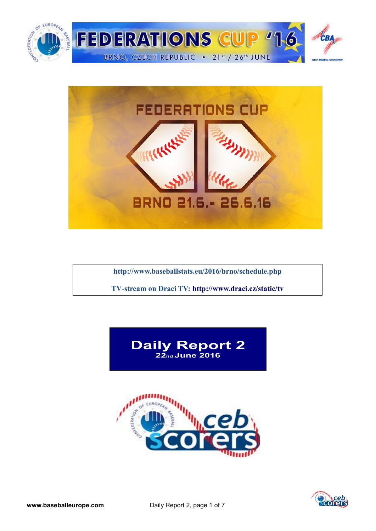



**<http://www.baseballstats.eu/2016/brno/schedule.php>**

**TV-stream on Draci TV:<http://www.draci.cz/static/tv>**





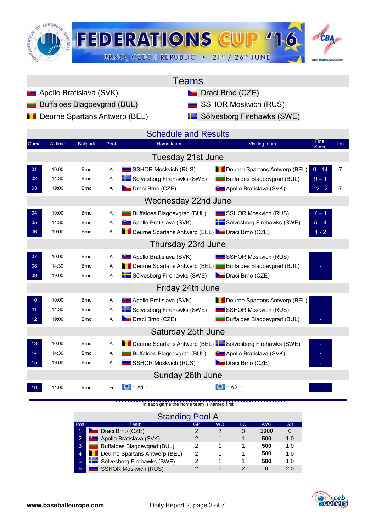

| Teams |  |
|-------|--|
|       |  |

- **Apollo Bratislava (SVK)** Draci Brno (CZE)
	- Buffaloes Blagoevgrad (BUL) **SSHOR Moskvich (RUS)**
- **Deurne Spartans Antwerp (BEL)** Sölvesborg Firehawks (SWE)

|  | <b>SSHOR Moskvich (RU</b> |  |
|--|---------------------------|--|
|  |                           |  |

| Game            | At time | <b>Ballpark</b> | Pool                    | <b>Schedule and Results</b><br>Home team                  | Final<br>Visiting team                       | <b>Inn</b>     |
|-----------------|---------|-----------------|-------------------------|-----------------------------------------------------------|----------------------------------------------|----------------|
|                 |         |                 |                         |                                                           | Score                                        |                |
|                 |         |                 |                         | Tuesday 21st June                                         |                                              |                |
| 01              | 10:00   | <b>Brno</b>     | A                       | SSHOR Moskvich (RUS)                                      | Deurne Spartans Antwerp (BEL)<br>$0 - 14$    | $\overline{7}$ |
| 02              | 14:30   | <b>Brno</b>     | Α                       | Sölvesborg Firehawks (SWE)                                | Buffaloes Blagoevgrad (BUL)<br>$9 - 1$       |                |
| 03              | 19:00   | <b>Brno</b>     | A                       | Draci Brno (CZE)                                          | <b>D</b> Apollo Bratislava (SVK)<br>$12 - 2$ | $\overline{7}$ |
|                 |         |                 |                         | Wednesday 22nd June                                       |                                              |                |
| 04              | 10:00   | <b>Brno</b>     | Α                       | Buffaloes Blagoevgrad (BUL)                               | $7 - 1$<br>SSHOR Moskvich (RUS)              |                |
| 05              | 14:30   | <b>Brno</b>     | Α                       | <b>B</b> Apollo Bratislava (SVK)                          | Sölvesborg Firehawks (SWE)<br>$5 - 4$        |                |
| 06              | 19:00   | <b>Brno</b>     | A                       | Deurne Spartans Antwerp (BEL) De Draci Brno (CZE)         | $1 - 2$                                      |                |
|                 |         |                 |                         | Thursday 23rd June                                        |                                              |                |
| 07              | 10:00   | <b>Brno</b>     | Α                       | <b>D</b> Apollo Bratislava (SVK)                          | SSHOR Moskvich (RUS)                         |                |
| 08              | 14:30   | <b>Brno</b>     | A                       | Deurne Spartans Antwerp (BEL) Buffaloes Blagoevgrad (BUL) |                                              |                |
| 09              | 19:00   | <b>Brno</b>     | A                       | Sölvesborg Firehawks (SWE)                                | Draci Brno (CZE)                             |                |
|                 |         |                 |                         | Friday 24th June                                          |                                              |                |
| 10 <sub>1</sub> | 10:00   | <b>Brno</b>     | $\overline{\mathsf{A}}$ | <b>B</b> Apollo Bratislava (SVK)                          | Deurne Spartans Antwerp (BEL)                |                |
| 11              | 14:30   | <b>Brno</b>     | Α                       | Sölvesborg Firehawks (SWE)                                | SSHOR Moskvich (RUS)                         |                |
| 12 <sub>2</sub> | 19:00   | <b>Brno</b>     | Α                       | Draci Brno (CZE)                                          | Buffaloes Blagoevgrad (BUL)                  |                |
|                 |         |                 |                         | Saturday 25th June                                        |                                              |                |
| 13 <sub>1</sub> | 10:00   | <b>Brno</b>     | A                       | Deurne Spartans Antwerp (BEL) Sölvesborg Firehawks (SWE)  |                                              |                |
| 14              | 14:30   | <b>Brno</b>     | A                       | Buffaloes Blagoevgrad (BUL)                               | <b>B</b> Apollo Bratislava (SVK)             |                |
| 15 <sub>1</sub> | 19:00   | Brno            | Α                       | SSHOR Moskvich (RUS)                                      | Draci Brno (CZE)                             |                |
|                 |         |                 |                         | Sunday 26th June                                          |                                              |                |
| 16              | 14:00   | <b>Brno</b>     | Fi                      | $\bullet$ :: A1 ::                                        | $\bullet$ :: A2 ::                           |                |

### [In each game the home team is named first](http://score.cebeurope.com/2013/antwerp/login.php)

|                | <b>Standing Pool A</b>               |    |    |    |            |           |  |  |  |  |  |  |  |  |
|----------------|--------------------------------------|----|----|----|------------|-----------|--|--|--|--|--|--|--|--|
| Pos            | Team                                 | GP | WO | LO | <b>AVG</b> | <b>GB</b> |  |  |  |  |  |  |  |  |
| 1              | Draci Brno (CZE)                     |    |    | 0  | 1000       |           |  |  |  |  |  |  |  |  |
| 2              | <b>D</b> Apollo Bratislava (SVK)     | 2  |    |    | 500        | 1.0       |  |  |  |  |  |  |  |  |
| 3              | Buffaloes Blagoevgrad (BUL)          | 2  |    |    | 500        | 1.0       |  |  |  |  |  |  |  |  |
| $\overline{4}$ | <b>Deurne Spartans Antwerp (BEL)</b> | 2  |    |    | 500        | 1.0       |  |  |  |  |  |  |  |  |
| $\overline{5}$ | Sölvesborg Firehawks (SWE)           | 2  |    |    | 500        | 1.0       |  |  |  |  |  |  |  |  |
| 6              | <b>SSHOR Moskvich (RUS)</b>          | っ  |    | າ  | O          | 2.0       |  |  |  |  |  |  |  |  |

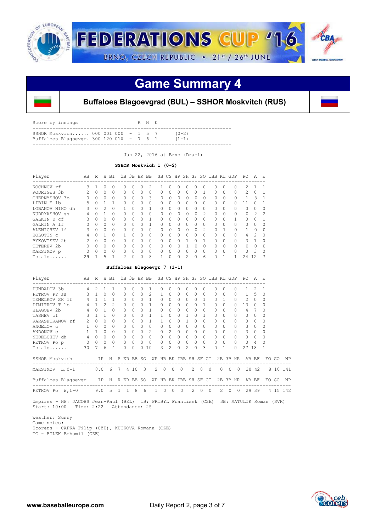

## **Game Summary 4**



### **Buffaloes Blagoevgrad (BUL) – SSHOR Moskvitch (RUS)**

| Score by innings                                                                  |  |  | R H E |                        |  |
|-----------------------------------------------------------------------------------|--|--|-------|------------------------|--|
| SSHOR Moskyich 000 001 000 $-1$ 5 7<br>Buffaloes Blagoevgr. 300 120 01X $-$ 7 6 1 |  |  |       | $(0 - 2)$<br>$(1 - 1)$ |  |
|                                                                                   |  |  |       |                        |  |

Jun 22, 2016 at Brno (Draci)

#### **SSHOR Moskvich 1 (0-2)**

| Player          | AВ | R        | Н | ВI           | 2B       | 3B       |   | HR BB    |           |              | SB CS HP | SH SF                                                                                                                                                                                                                                                                                                                                                                                                       |   | SO.            | IBB      | KL        | GDP          | PO.            | A              | F.            |
|-----------------|----|----------|---|--------------|----------|----------|---|----------|-----------|--------------|----------|-------------------------------------------------------------------------------------------------------------------------------------------------------------------------------------------------------------------------------------------------------------------------------------------------------------------------------------------------------------------------------------------------------------|---|----------------|----------|-----------|--------------|----------------|----------------|---------------|
| KOCHNOV rf      | ζ  |          | 0 | $\Omega$     | 0        | O        | 0 | 2        |           | 0            | Ω        | 0                                                                                                                                                                                                                                                                                                                                                                                                           | Ω | O              | 0        | $\Omega$  | $\Omega$     | 2              |                |               |
| RODRIGES 3b     |    | $\Omega$ | 0 | $\Omega$     | 0        | 0        | 0 | $\Omega$ | 0         | 0            | 0        | 0                                                                                                                                                                                                                                                                                                                                                                                                           | Ω |                | $\Omega$ | $\Omega$  | $\Omega$     | $\mathfrak{D}$ | O              |               |
| CHERNYSHOV 3b   |    | 0        | 0 | $\Omega$     | $\Omega$ | 0        | 0 | 3        | $\Omega$  | 0            | 0        |                                                                                                                                                                                                                                                                                                                                                                                                             | 0 | 0              | $\Omega$ | $\Omega$  |              |                | 3              |               |
| LIBIN E<br>1b   | 5. | $\Omega$ |   |              | $\Omega$ | $\Omega$ | 0 | $\Omega$ | $\bigcap$ | $\Omega$     | 0        | $\bigcap$                                                                                                                                                                                                                                                                                                                                                                                                   | Ω | 0              | $\Omega$ | $\Omega$  | $\cap$       | 11             | Ω              |               |
| LOBANOV NIKO dh | Κ  | $\Omega$ | 2 | $\Omega$     |          | O        | O |          | $\cap$    | O            | O        | $\bigcap$                                                                                                                                                                                                                                                                                                                                                                                                   | 0 | $\Omega$       | $\Omega$ | $\Omega$  | $\cap$       | $\bigcap$      | O              | ∩             |
| KUDRYASHOV ss   | 4  | O        |   | $\Omega$     | $\Omega$ | 0        | 0 | $\Omega$ | $\Omega$  | $\Omega$     | 0        | <sup>0</sup>                                                                                                                                                                                                                                                                                                                                                                                                | 0 | $\mathfrak{D}$ | $\Omega$ | $\bigcap$ |              | $\Omega$       | 2              | $\mathcal{D}$ |
| GALKIN D cf     | २  | $\Omega$ | Ω | $\Omega$     | $\Omega$ | $\cap$   | 0 |          | $\Omega$  | $\Omega$     | Ω        | $\bigcap$                                                                                                                                                                                                                                                                                                                                                                                                   | Λ | $\Omega$       | $\Omega$ | $\Omega$  |              | $\bigcap$      | Ω              |               |
| GALKIN A 1f     |    | O        | 0 | $\Omega$     | $\Omega$ | O        | Ω |          | $\cap$    | O            | O        | $\cap$                                                                                                                                                                                                                                                                                                                                                                                                      | Ω | $\Omega$       | 0        | $\Omega$  | $\cap$       | $\cap$         | O              | ∩             |
| ALENICHEV 1f    |    | 0        | Ω | $\Omega$     | $\Omega$ | O        | 0 | $\Omega$ | 0         | $\cap$       | 0        | <sup>0</sup>                                                                                                                                                                                                                                                                                                                                                                                                | n | $\mathcal{P}$  | $\Omega$ |           |              |                | O              | $\Omega$      |
| BOLOTIN C       | 4  | $\Omega$ |   | $\Omega$     |          | $\Omega$ | 0 | $\Omega$ | $\bigcap$ | $\Omega$     | O        | $\bigcap$                                                                                                                                                                                                                                                                                                                                                                                                   | 0 | $\Omega$       | $\Omega$ | $\Omega$  | $\cap$       | 4              | $\mathfrak{D}$ | $\Omega$      |
| BYKOVTSEV 2b    | 2  | O        | 0 | $\Omega$     | U        | O        | O | $\Omega$ | $\cap$    | Λ            | O        |                                                                                                                                                                                                                                                                                                                                                                                                             | Λ |                | 0        | $\Omega$  | $\cap$       | 3              |                | $\cap$        |
| TETEREV 2b      |    | O        | Ω | $\Omega$     | 0        | O        | Ω | $\Omega$ | 0         | <sup>0</sup> |          |                                                                                                                                                                                                                                                                                                                                                                                                             | ∩ | O              | $\Omega$ | $\bigcap$ | <sup>0</sup> | O.             | O              | O             |
| MAKSIMOV p      |    | O        | Ω | $\Omega$     | $\Omega$ | $\cap$   | 0 | $\Omega$ | $\cap$    | $\Omega$     | Λ        | $\bigcap$                                                                                                                                                                                                                                                                                                                                                                                                   | Λ | $\Omega$       | $\Omega$ | $\Omega$  | $\cap$       | $\cap$         | 5              | $\Omega$      |
| Totals          | 29 |          | 5 | $\mathbf{1}$ | 2        | 0        | 0 | 8        |           | $\Omega$     | 0        | $\mathfrak{D}_{1}^{(1)} = \mathfrak{D}_{2}^{(1)} = \mathfrak{D}_{2}^{(1)} = \mathfrak{D}_{2}^{(1)} = \mathfrak{D}_{2}^{(1)} = \mathfrak{D}_{2}^{(1)} = \mathfrak{D}_{2}^{(1)} = \mathfrak{D}_{2}^{(1)} = \mathfrak{D}_{2}^{(1)} = \mathfrak{D}_{2}^{(1)} = \mathfrak{D}_{2}^{(1)} = \mathfrak{D}_{2}^{(1)} = \mathfrak{D}_{2}^{(1)} = \mathfrak{D}_{2}^{(1)} = \mathfrak{D}_{2}^{(1)} = \mathfrak{D}_{2}^{$ | Ω | 6              | O        | п         |              | 24             | 12             |               |

#### **Buffaloes Blagoevgr 7 (1-1)**

| Player                   | AB             | R         |               | H BI           |    | 2B        | 3B HR BB                |                          |                       |                               |                |          |           |          |          |          | SB CS HP SH SF SO IBB KL GDP |              |           | PO.            | A             | F.       |       |          |
|--------------------------|----------------|-----------|---------------|----------------|----|-----------|-------------------------|--------------------------|-----------------------|-------------------------------|----------------|----------|-----------|----------|----------|----------|------------------------------|--------------|-----------|----------------|---------------|----------|-------|----------|
| DUNDALOV 3b              | 4              | 2         |               |                |    | 0         | 0                       | 0                        |                       |                               | O              | Ω        |           |          | Ω        |          |                              | ∩            | 0         |                | $\mathcal{P}$ |          |       |          |
| PETROV Pr ss             | 3              |           | $\Omega$      | $\Omega$       |    | $\Omega$  | $\Omega$                | $\Omega$                 | $\mathcal{L}$         | 1                             | $\Omega$       | $\Omega$ | $\bigcap$ | $\Omega$ | $\Omega$ |          | $\cap$                       | $\Omega$     | $\cap$    | $\mathbf{1}$   | .5            | $\Omega$ |       |          |
| TEMELKOV SK 1f           | 4              |           |               | 1              |    | $\bigcap$ | $\Omega$                | $\Omega$                 | 1                     | $\Omega$                      | $\bigcap$      | $\Omega$ | $\cap$    |          |          |          |                              | $\mathbf{1}$ |           | $\mathfrak{D}$ | $\Omega$      | 0        |       |          |
| DIMITROV T 1b            | 4              |           | $\mathcal{P}$ | $\mathfrak{D}$ |    | $\Omega$  | $\Omega$                | $\Omega$                 | 1.                    | $\Omega$                      | $\Omega$       | $\Omega$ | $\Omega$  | $\Omega$ | 1        |          | $\Omega$                     | $\cap$       | $\bigcap$ | 13             | $\Omega$      | 0        |       |          |
| BLAGOEV 2b               | 4              | 0         |               | <sup>0</sup>   |    | $\Omega$  | $\Omega$                | $\bigcap$                |                       | 0                             | 0              | $\Omega$ | $\cap$    |          | $\Omega$ |          | $\Omega$                     | $\Omega$     | 0         | 4              |               | 0        |       |          |
| TASHEV cf                | 3              |           |               | $\Omega$       |    | $\cap$    | $\Omega$                | $\Omega$                 | 1                     | 1                             | $\cap$         | $\Omega$ |           |          |          |          | $\cap$                       | $\Omega$     | $\cap$    | $\Omega$       | $\Omega$      | 0        |       |          |
| KARASHTRANOV rf          | $\mathcal{L}$  | $\bigcap$ | $\bigcap$     | $\Omega$       |    | $\cap$    | $\Omega$                | $\bigcap$                | 1                     | 1                             | $\Omega$       | $\Omega$ |           |          | $\Omega$ |          | $\cap$                       |              |           | $\Omega$       | $\Omega$      | 0        |       |          |
| ANGELOV C                | $\mathbf{1}$   | $\Omega$  | $\Omega$      | $\Omega$       |    | 0         | $\Omega$                | $\Omega$                 | $\Omega$              | 0                             | $\Omega$       | $\Omega$ | 0         |          | 0        |          | 0                            | $\Omega$     | $\cap$    | 3              | 0             | 0        |       |          |
| ANDONOV C                | $\mathbf{1}$   |           | $\Omega$      | $\Omega$       |    | $\Omega$  | $\Omega$                | $\Omega$                 | 2                     | $\Omega$                      | $\mathfrak{D}$ | $\Omega$ | $\Omega$  | $\cap$   | $\Omega$ |          | $\Omega$                     | $\cap$       |           | 3              | $\Omega$      | O        |       |          |
| NEDELCHEV dh             | $\overline{4}$ | $\Omega$  | $\Omega$      | $\Omega$       |    | 0         | $\Omega$                | $\Omega$                 | $\bigcap$             | $\Omega$                      | $\Omega$       | $\Omega$ | $\cap$    | $\Omega$ | 0        |          | $\Omega$                     | $\Omega$     |           | $\Omega$       | $\Omega$      | 0        |       |          |
| PETKOV Po p              | 0              | $\circ$   | $\circ$       | 0              |    | 0         | $\mathbf{0}$            | 0                        | $\Omega$              | 0                             | $\Omega$       | 0        | $\circ$   | $\Omega$ | 0        |          | $\Omega$                     | $\Omega$     | $\bigcap$ | $\Omega$       | 4             | Ω        |       |          |
| Totals                   | 30             | 7         | 6             | 4              |    | $\cap$    | $\Omega$                | $\Omega$                 | 10                    | 3                             | $\mathcal{L}$  | 0        | 2         |          | 3        |          | U                            |              | $\cap$    | 27             | 18            |          |       |          |
| SSHOR Moskvich           |                |           | IP            | H              |    |           | R ER BB SO              |                          |                       | WP HB BK IBB SH SF CI         |                |          |           |          |          |          |                              |              |           | 2B 3B HR AB BF |               |          | FO GO | ΝP       |
| MAKSIMOV<br>$L$ , 0-1    | $8.0\quad 6$   |           |               |                | 7  |           | ---------------<br>4 10 | $\overline{\phantom{a}}$ |                       | --------------<br>$2 \quad 0$ | $\Omega$       | $\Omega$ |           | $2^{1}$  | $\Omega$ | $\Omega$ | ------------<br>$\Omega$     | $\Omega$     | $\Omega$  | 30             | 42            |          |       | 8 10 141 |
| Buffaloes Blaqoevqr IP H |                |           |               |                |    |           | R ER BB SO              |                          | WP HB BK IBB SH SF CI |                               |                |          |           |          |          |          |                              |              |           | 2B 3B HR AB BF |               |          | FO GO | NP       |
| $W, 1-0$<br>PETKOV Po    |                |           | 9.05          |                | -1 |           | 1 8                     | 6                        | $\mathbf{1}$          | $\Omega$                      | $\Omega$       | $\cap$   |           | 2        | $\cap$   | $\Omega$ | $\mathcal{L}$                | $\bigcap$    | $\cap$    | 29             | 39            |          |       | 4 15 142 |

 Umpires - HP: JACOBS Jean-Paul (BEL) 1B: PRIBYL Frantisek (CZE) 3B: MATULIK Roman (SVK) Start: 10:00 Time: 2:22 Attendance: 25

 Weather: Sunny Game notes: Scorers - CAPKA Filip (CZE), KUCKOVA Romana (CZE) TC - BILEK Bohumil (CZE)

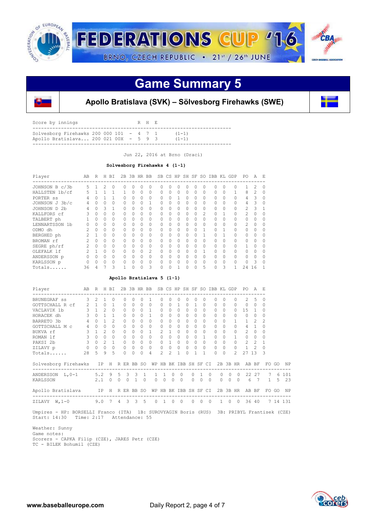

## **Game Summary 5**



### **Apollo Bratislava (SVK) – Sölvesborg Firehawks (SWE)**

| Score by innings                                                                    |  |  | R H E |                        |
|-------------------------------------------------------------------------------------|--|--|-------|------------------------|
| Solvesborg Firehawks 200 000 101 - $4$ 7 1<br>Apollo Bratislava 200 021 00X - 5 9 3 |  |  |       | $(1 - 1)$<br>$(1 - 1)$ |
|                                                                                     |  |  |       |                        |

Jun 22, 2016 at Brno (Draci)

### **Solvesborg Firehawks 4 (1-1)**

| Player         | AB            | R        | Н | BI       | 2B       |          | 3B HR BB |                | SB       |   |   | CS HP SH SF |   | SO.            | IBB KL   |          | GDP      | PO.           | A  | F.       |
|----------------|---------------|----------|---|----------|----------|----------|----------|----------------|----------|---|---|-------------|---|----------------|----------|----------|----------|---------------|----|----------|
| JOHNSON B c/3b | 5             |          | 2 | $\Omega$ | Ω        |          | Ω        | 0              |          |   |   |             |   |                | O        |          |          |               |    | $\Omega$ |
| HALLSTEN 1b/cf | 5             |          |   |          |          | 0        | 0        | 0              | $\Omega$ | 0 | 0 | 0           | 0 | 0              | $\Omega$ | $\Omega$ |          | 8             | 2  | 0        |
| PORTER SS      |               |          |   |          |          | 0        | 0        | $\Omega$       | 0        |   |   | 0           |   | O              | 0        | $\Omega$ |          | 4             | 3  | $\Omega$ |
| JOHNSON J 3b/c | 4             |          | 0 |          | 0        | 0        | Ω        |                | 0        |   | Ω | $\cap$      |   | O              | 0        | $\Omega$ | $\Omega$ | 4             | 3  | 0        |
| JOHNSON D 2b   | 4             | 0        | 3 |          | 0        | 0        | 0        | 0              | 0        | Ω | 0 | $\bigcap$   | 0 | 0              | $\Omega$ | $\Omega$ | $\Omega$ | 2             | 3  |          |
| KALLFORS cf    |               | $\Omega$ | 0 | $\Omega$ | $\Omega$ | 0        | 0        | $\Omega$       | 0        | Ω | 0 | $\bigcap$   | Ω | $\mathfrak{D}$ | $\Omega$ |          | $\Omega$ | $\mathcal{D}$ | Ω  | 0        |
| TALBERT ph     |               | $\Omega$ | O | $\Omega$ | $\Omega$ | $\cap$   | $\Omega$ | $\Omega$       | $\Omega$ | 0 | O | $\bigcap$   | Ω | O              | $\Omega$ | $\Omega$ | $\cap$   | $\cap$        | O  | $\Omega$ |
| LENNARTSSON 1b |               | $\Omega$ | Ω | $\Omega$ | $\Omega$ | $\Omega$ | 0        | $\Omega$       | $\Omega$ | Ω | 0 | $\bigcap$   | 0 | $\Omega$       | $\Omega$ | $\Omega$ | $\Omega$ | $\mathcal{D}$ | Ω  | $\Omega$ |
| ODMO dh        | $\mathcal{L}$ | $\Omega$ | Ω | $\Omega$ | $\Omega$ | 0        | Ω        | $\Omega$       | 0        | Ω | Ω | $\cap$      | Ω |                | 0        |          | $\Omega$ | $\cap$        | Ω  | ∩        |
| BERGHED ph     |               |          | Ω | $\Omega$ | 0        | 0        | 0        | $\Omega$       | $\Omega$ | Ω | Ω | $\bigcap$   |   |                | $\Omega$ |          |          | $\cap$        | Ω  | ∩        |
| BROMAN rf      |               | $\Omega$ | 0 | $\Omega$ | 0        | 0        | 0        | $\Omega$       | 0        | 0 | 0 | $\Omega$    | 0 | O              | $\Omega$ | $\Omega$ | $\Omega$ | $\Omega$      | O  | O        |
| SEGRE ph/rf    |               | O        | 0 | $\Omega$ | Ω        | O        | Ω        | $\Omega$       | 0        | O | O | $\bigcap$   |   | O              | $\Omega$ | $\Omega$ |          |               |    | O        |
| OLEFALK 1f     |               |          | Ω | $\Omega$ | Ω        | O        | O        | $\mathfrak{D}$ | U        | Λ | O | $\bigcap$   | Ω |                | 0        | $\Omega$ | $\Omega$ | $\bigcap$     | O  |          |
| ANDERSSON p    |               |          | 0 | $\Omega$ | Ω        | O        | Ω        | $\Omega$       | U        | Λ | Ω | $\bigcap$   | Ω | O              | 0        | $\Omega$ |          | $\cap$        |    | ∩        |
| KARLSSON p     |               | O        | 0 | $\Omega$ | 0        | O        | 0        | $\Omega$       | 0        | Λ | Ω | $\bigcap$   | 0 | 0              | 0        | $\Omega$ |          |               | ς  | $\Omega$ |
| Totals         | 36            | 4        |   | 3        |          | 0        | 0        | 3              |          | 0 |   | $\Omega$    |   | 5              | 0        | 3        |          | 24            | 16 |          |

#### **Apollo Bratislava 5 (1-1)**

| Player                                                                                                    | AB R H BI  |                     |         |                |          |          |                |             | 2B 3B HR BB SB CS HP SH SF SO IBB KL GDP                   |                |                |                               |                |              |                |                |          |          |                     | PO.            | A F.          |               |       |                      |
|-----------------------------------------------------------------------------------------------------------|------------|---------------------|---------|----------------|----------|----------|----------------|-------------|------------------------------------------------------------|----------------|----------------|-------------------------------|----------------|--------------|----------------|----------------|----------|----------|---------------------|----------------|---------------|---------------|-------|----------------------|
| BRUNEGRAF ss                                                                                              |            | $3 \t2 \t1$         |         | $\Omega$       |          |          |                | $\Omega$    | $\overline{1}$                                             |                | $\Omega$       | $\Omega$                      | $\circ$        | $\Omega$     |                |                | $\Omega$ | $\cap$   | $\Omega$            | $2^{\circ}$    | 5             | $\Omega$      |       |                      |
| GOTTSCHALL R cf 2 1 0 1                                                                                   |            |                     |         |                |          |          | $0 \quad 0$    | $\Omega$    | $\Omega$                                                   | $\Omega$       | $\Omega$       | $1 \quad 0$                   |                | $\mathbf{1}$ | $\Omega$       |                | $\Omega$ | $\Omega$ | $\Omega$            | $\overline{0}$ | $\Omega$      | $\Omega$      |       |                      |
| $\begin{array}{ccccccccc}\n & & & & 3 & 1 & 2 \\ & & & & 3 & 0 & 1\n\end{array}$<br>VACLAVIK 1b           |            |                     |         | $\Omega$       |          |          | $0 \quad 0$    |             | $0\quad 1$                                                 |                |                | $0\quad 0\quad 0\quad 0\quad$ |                |              | $0 \quad 0$    |                | $\Omega$ | $\Omega$ |                     | $0 \t15 \t1$   |               | $\Omega$      |       |                      |
| HORACEK dh                                                                                                |            |                     |         | 1              |          |          | $0 \quad 0$    | $\Omega$    | 1                                                          | $\Omega$       | $\Omega$       | $\cap$                        | $\Omega$       | $\cap$       | $\Omega$       |                |          | $\Omega$ | $\Omega$            | $\Omega$       | $\Omega$      | $\Omega$      |       |                      |
| $4 \t0 \t1$<br>BARRETO 3b                                                                                 |            |                     |         | $\mathcal{L}$  |          | $\cap$   | $\cap$         | $\Omega$    | $\cap$                                                     | $\Omega$       | $\Omega$       | $0 \quad 0$                   |                | $\Omega$     | $\Omega$       |                | $\cap$   | $\Omega$ | $1 \quad$           | $\mathbf{1}$   | $\mathcal{P}$ | $\mathcal{P}$ |       |                      |
| GOTTSCHALL M c                                                                                            |            | $4\quad 0$          | $\circ$ | $\Omega$       |          | $\Omega$ | $\Omega$       | $\Omega$    | $\Omega$                                                   | $\Omega$       | $\Omega$       | $\cap$                        | $\overline{0}$ | $\Omega$     | $\Omega$       |                | $\Omega$ | $\Omega$ | $\Omega$            | $4 -$          | $\mathbf{1}$  | $\Omega$      |       |                      |
| BUKVA rf                                                                                                  |            | $3 \quad 1 \quad 2$ |         | $\Omega$       |          |          | $0 \quad 0$    |             | $0\quad 1$                                                 |                |                | 2 1 0 0                       |                |              | $0 \quad 0$    |                | $\Omega$ | $\Omega$ | 0                   | $2^{\circ}$    | $\Omega$      | $\Omega$      |       |                      |
| ROMAN lf                                                                                                  |            | 300                 |         | $\Omega$       |          |          | $0 \quad 0$    | $\Omega$    | $\overline{0}$                                             | $\mathbf{0}$   |                | $0\quad 0\quad 0$             |                |              | $0 \quad 1$    |                | $\Omega$ | $\Omega$ | $1 \quad$           | $\overline{0}$ | $\circ$       | $\Omega$      |       |                      |
| PAKSI 2b 3 0 2 1                                                                                          |            |                     |         |                |          |          |                |             | $\begin{array}{ccccccccc}\n0 & 0 & 0 & 0 & 0\n\end{array}$ |                |                | 0 1 0 0                       |                |              | $0 \quad 0$    |                | $\Omega$ | $\cap$   |                     | $0\qquad 2$    | $\mathcal{P}$ | 1             |       |                      |
| ZILAVY p                                                                                                  |            | $0\qquad 0\qquad 0$ |         |                | $\Omega$ |          | $0\quad 0$     |             | $0\qquad 0$                                                | $\overline{0}$ |                | $0\quad 0\quad 0$             |                |              | $0 \quad 0$    |                | $\circ$  | $\Omega$ |                     | $0 \t 1 \t 2$  |               | $\Omega$      |       |                      |
| Totals                                                                                                    | 28 5       |                     | Q       | $\overline{5}$ |          | $\Omega$ | $\Omega$       | $\Omega$    | 4                                                          | $\mathcal{P}$  | $\mathfrak{D}$ | $\mathbf{1}$                  | $\Omega$       | $\mathbf{1}$ | $\mathbf{1}$   |                |          | $\cap$   | $\mathfrak{D}$      | 27             | 13            | $\mathcal{R}$ |       |                      |
| Solvesborg Firehawks IP H R ER BB SO WP HB BK IBB SH SF CI 2B 3B HR AB BF FO GO                           |            |                     |         |                |          |          |                |             |                                                            |                |                |                               |                |              |                |                |          |          |                     |                |               |               |       | NP                   |
| ANDERSSON L, 0-1 5.2 9                                                                                    |            |                     |         |                |          |          | 5 3 3 1        |             | $\mathbf{1}$                                               |                | $1 \quad 0$    | $\Omega$                      |                | $\Omega$     | $\overline{1}$ | $\Omega$       |          |          | $0 \quad 0 \quad 0$ |                | 22 27         |               |       | 7 6 101              |
| KARLSSON                                                                                                  |            | 2.1                 |         | $\Omega$       | $\Omega$ | $\Omega$ |                | $1 \quad 0$ | $\Omega$                                                   |                | $0 \quad 0$    | $\Omega$                      |                | $\cap$       | $\Omega$       | $\Omega$       | $\Omega$ | $\Omega$ | $\Omega$            | 6              | 7             |               |       | $1 \quad 5 \quad 23$ |
| Apollo Bratislava IP H R ER BB SO WP HB BK IBB SH SF CI 2B 3B HR AB BF                                    |            |                     |         |                |          |          |                |             |                                                            |                |                |                               |                |              |                |                |          |          |                     |                |               |               | FO GO | N <sub>P</sub>       |
| ZILAVY W, 1-0 9.0 7 4 3 3 5                                                                               |            |                     |         |                |          |          |                |             | $\Omega$                                                   |                | $1 \quad 0$    | $\bigcirc$                    |                | $0\quad 0$   |                | $\overline{0}$ |          |          |                     | 1 0 0 36 40    |               |               |       | 7 14 131             |
| Umpires - HP: BORSELLI Franco (ITA) 1B: SUROVYAGIN Boris (RUS) 3B: PRIBYL Frantisek (CZE)<br>Start: 14:30 | Time: 2:17 |                     |         |                |          |          | Attendance: 55 |             |                                                            |                |                |                               |                |              |                |                |          |          |                     |                |               |               |       |                      |

 Weather: Sunny Game notes: Scorers - CAPKA Filip (CZE), JARES Petr (CZE) TC - BILEK Bohumil (CZE)

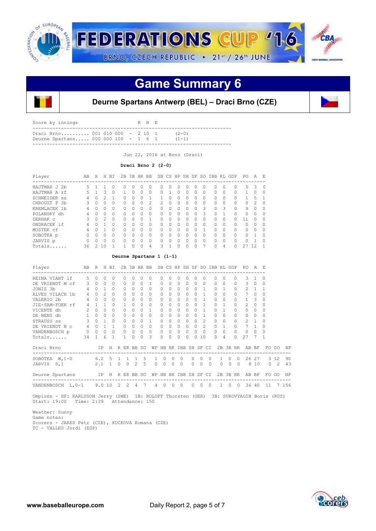

## **Game Summary 6**



### **Deurne Spartans Antwerp (BEL) – Draci Brno (CZE)**

| Score by innings                                                       |  | R H E |                        |  |
|------------------------------------------------------------------------|--|-------|------------------------|--|
| Draci Brno 001 010 000 - 2 10 1<br>Deurne Spartans 000 000 100 - 1 6 1 |  |       | $(2 - 0)$<br>$(1 - 1)$ |  |
|                                                                        |  |       |                        |  |

Jun 22, 2016 at Brno (Draci)

#### **Draci Brno 2 (2-0)**

| Player              | AB | R        | H             | <b>BT</b> | 2B |          | 3B HR    | <b>BB</b>     |                |          |          | SB CS HP SH SF |              | SO. | IBB KL |          | GDP      | PO           | A  | E.       |
|---------------------|----|----------|---------------|-----------|----|----------|----------|---------------|----------------|----------|----------|----------------|--------------|-----|--------|----------|----------|--------------|----|----------|
| HAJTMAR J 2b        | 5. |          |               | O         | Ω  | O        | O        | $^{(1)}$      | O.             | Ω        | 0        | O              | $\Omega$     | Ω   | 0      | $\Omega$ | 0        | 5            | 3  | $\cap$   |
| HAJTMAR A rf        | 5  |          | 3             | 0         |    | U        | 0        | 0             | <sup>n</sup>   |          | 0        | 0              | 0            | Ω   | 0      | $\Omega$ | 0        |              |    | C        |
| <b>SCHNEIDER SS</b> | 4  |          |               |           | O  | O        | $\Omega$ |               |                | $\Omega$ | O        | O              | $\Omega$     | 0   | U      | $\Omega$ | O        |              | 5  |          |
| CHROUST P<br>.3b    | 3  | $\Omega$ |               | $\Omega$  | O  | O        | $\Omega$ | $\mathcal{L}$ | $\mathfrak{D}$ | $\Omega$ | $\Omega$ | O              | $\Omega$     | 0   | 0      | $\Omega$ | $\Omega$ | $\cap$       | 2  | $\Omega$ |
| KREMLACEK 1b        | 4  | $\Omega$ |               | $\Omega$  | O  | U        | $\Omega$ | $\Omega$      | <sup>n</sup>   | 0        | 0        | 0              | 0            | 3   | U      | 3        | 0        | 9            |    | $\Omega$ |
| POLANSKY dh         | 4  | $\cap$   |               | $\Omega$  | Ω  | U        | $\Omega$ | $\cap$        | $\cap$         | $\Omega$ | 0        | O              | $\Omega$     | 3   | U      | 1        | $\cap$   | O            |    | $\Omega$ |
| DERHAK C            | 3  | $\Omega$ | $\mathcal{P}$ | $\Omega$  | Ω  | $\Omega$ | $\cap$   |               | $\cap$         | $\Omega$ | $\Omega$ | O              | $\Omega$     | 0   | 0      | $\Omega$ | O        | 11           | 0  | $\Omega$ |
| ONDRACEK 1f         | 4  |          |               | $\Omega$  | Ω  | U        | $\Omega$ | $\Omega$      | $\cap$         | $\Omega$ | O        | O              | 0            | O   | 0      | $\Omega$ | O        | O            | Ω  | $\Omega$ |
| MOSTEK cf           | 4  | $\cap$   |               | $\Omega$  | U  | O        | ∩        | $\cap$        | <sup>n</sup>   | $\cap$   | 0        | U              | $\cap$       | 1   | Λ      | $\Omega$ | $\cap$   | <sup>0</sup> | ∩  | ∩        |
| SOBOTKA p           | 0  | $\Omega$ |               | 0         | Ω  | U        | O        | $\Omega$      | <sup>n</sup>   | Ω        | Ω        | O              | $\Omega$     | Ω   | 0      | $\Omega$ | 0        | U            |    | $\Omega$ |
| JARVIS p            | 0  | $\Omega$ |               | $\Omega$  | O  | O        | $\Omega$ | $\Omega$      | $\cap$         | O        | O        | O              | $\Omega$     | O   | U      | $\Omega$ | 0        | O            |    | $\cap$   |
| Totals              | 36 | っ        |               |           |    | n        | ∩        | 4             | ₹              |          | $\Omega$ | U              | <sup>n</sup> |     | U      | 4        | O        | クワ           | 1つ |          |

#### **Deurne Spartans 1 (1-1)**

| Player                                                    | AB             | R H BI       |              |                |          |                | 2B 3B HR BB    |          |              |                       |              |              |           |              |           |               | SB CS HP SH SF SO IBB KL GDP |                      |          | PO.                      | A            | F.       |                |           |
|-----------------------------------------------------------|----------------|--------------|--------------|----------------|----------|----------------|----------------|----------|--------------|-----------------------|--------------|--------------|-----------|--------------|-----------|---------------|------------------------------|----------------------|----------|--------------------------|--------------|----------|----------------|-----------|
| REINA VIANT 1f                                            | 5              |              |              |                |          |                |                |          |              |                       |              |              |           |              |           |               | $\Omega$                     |                      |          | ς                        |              | 0        |                |           |
| DE VRIENDT M cf                                           | 3              | $\Omega$     | $\Omega$     | $\Omega$       |          | $\Omega$       | $\Omega$       | $\Omega$ | $\mathbf{1}$ | $\Omega$              | 0            | $\Omega$     | $\Omega$  | $\Omega$     |           | 0             | $\Omega$                     | $\Omega$             |          | 3                        | $\Omega$     | $\Omega$ |                |           |
| JONIS 3b                                                  | $4 -$          | $\Omega$     | 1            | $\Omega$       |          | 0              | 0              | $\Omega$ | $\Omega$     | $\Omega$              | 0            | $\Omega$     | $\Omega$  | 0            |           |               | $\Omega$                     |                      | $\Omega$ | 2.                       | -1.          |          |                |           |
| ALVES VILACH 1b                                           | $4 -$          | $\Omega$     | 2            | $\Omega$       |          | 0              | $\Omega$       | ∩        | $\bigcap$    | $\cap$                | <sup>n</sup> | $\bigcap$    | $\bigcap$ | $\cap$       |           | 1             | $\Omega$                     | $\cap$               |          | 7                        | $\Omega$     | $\Omega$ |                |           |
| VALERIO 2b                                                | $\overline{4}$ | $\bigcap$    | $\cap$       | $\Omega$       |          | $\cap$         | $\Omega$       | ∩        | $\Omega$     | $\cap$                | 0            | $\cap$       | $\bigcap$ | $\Omega$     |           | 1             | $\Omega$                     | $\Omega$             |          | $\mathbf{1}$             | 3            | 0        |                |           |
| JIE-SAM-FOEK rf                                           | $\overline{4}$ | -1           |              | $\bigcap$      |          |                | 0              |          | 0            | 0                     | 0            | 0            | $\cap$    | <sup>n</sup> |           |               | $\bigcap$                    |                      | $\Omega$ | 2                        | $\Omega$     | 0        |                |           |
| VICENTE dh                                                | $2^{\circ}$    | $\Omega$     | $\Omega$     | $\cap$         |          | 0              | 0              |          |              | $\Omega$              | 0            |              |           | $\Omega$     |           | 1             | $\Omega$                     |                      |          | $\Omega$                 | $\Omega$     | 0        |                |           |
| DE BENS dh                                                | $\mathbf{1}$   | $\Omega$     | $\Omega$     | $\Omega$       |          | $\Omega$       | $\Omega$       | $\Omega$ | $\Omega$     | $\Omega$              | 0            | $\Omega$     | $\Omega$  | 0            |           |               | $\Omega$                     | $\Omega$             | $\Omega$ | 0                        | $\Omega$     | 0        |                |           |
| STRAUSS ss                                                | 3              | $\Omega$     |              | $\Omega$       |          | $\Omega$       | $\Omega$       | $\Omega$ |              | $\Omega$              | $\Omega$     | $\Omega$     | $\Omega$  | $\Omega$     |           | $\mathcal{L}$ | $\Omega$                     | $\Omega$             |          | $\mathfrak{D}$           | -1           | $\Omega$ |                |           |
| DE VRIENDT N C                                            | 4              | $\Omega$     | $\mathbf{1}$ | 1              |          | $\Omega$       | $\Omega$       | ∩        | $\Omega$     | $\Omega$              | 0            | $\cap$       | $\bigcap$ | $\Omega$     |           | $\mathcal{L}$ | $\Omega$                     |                      |          | 7                        | $\mathbf{1}$ | $\Omega$ |                |           |
| VANDENBOSCH p                                             | $\circ$        | $\mathbf{0}$ | $\circ$      | $\circ$        |          | 0              | $\Omega$       | $\Omega$ | $\Omega$     | $\circ$               | $\Omega$     | 0            | $\Omega$  | $\Omega$     |           | $\Omega$      | $\Omega$                     | $\Omega$             |          | $\Omega$                 | $\Omega$     | $\Omega$ |                |           |
| Totals                                                    | 34             | $\mathbf{1}$ | 6            | 1              |          | 1.             |                | $\Omega$ | Κ            | 0                     | $\Omega$     |              |           | 0            | 10        |               | $\Omega$                     | 4                    | $\cap$   | 27                       |              | 1        |                |           |
| Draci Brno                                                |                |              |              | IP H           |          |                | R ER BB SO     |          |              | WP HB BK IBB SH SF CI |              |              |           |              |           |               |                              |                      |          | 2B 3B HR AB BF           |              |          | FO GO          | ΝP        |
| -------------------------------------<br>SOBOTKA $W, 1-0$ |                |              |              | 6.2 5 1        |          | -1             | $\overline{1}$ | 5        |              | $\Omega$              | $\bigcap$    | $\Omega$     |           | $\bigcap$    | $\cap$    | $\bigcap$     |                              | $\Omega$             | $\cap$   | ------------------------ | 26 27        |          | 3 12           | 90        |
| S, 1<br>JARVIS                                            |                | 2.1          |              | $\overline{1}$ | $\Omega$ | $\Omega$       | 2              | 5        |              | $\Omega$<br>$\Omega$  | $\Omega$     | $\Omega$     |           | $\Omega$     | $\bigcap$ | $\Omega$      |                              | $\Omega$<br>$\Omega$ | $\Omega$ | 8                        | 10           | $\Omega$ | $\overline{2}$ | 43        |
| Deurne Spartans                                           |                |              |              | IP H           |          |                | R ER BB SO     |          |              | WP HB BK IBB SH SF CI |              |              |           |              |           |               |                              |                      |          | 2B 3B HR AB BF           |              |          | FO GO          | <b>NP</b> |
| VANDENBOSCH L, 0-1 9.0 10                                 |                |              |              |                | 2        | $\overline{2}$ | $\overline{4}$ | 7        |              | $\Omega$<br>4         | $\Omega$     | $\mathbf{0}$ |           | $\Omega$     | $\Omega$  | $\Omega$      | $\mathbf{1}$                 | $\Omega$             | $\Omega$ |                          | 36 40        | 11       |                | 7 156     |

 Umpires - HP: KARLSSON Jerry (SWE) 1B: ROLOFF Thorsten (GER) 3B: SUROVYAGIN Boris (RUS) Start: 19:00 Time: 2:39 Attendance: 150

 Weather: Sunny Game notes: Scorers - JARES Petr (CZE), KUCKOVA Romana (CZE) TC - VALLES Jordi (ESP)

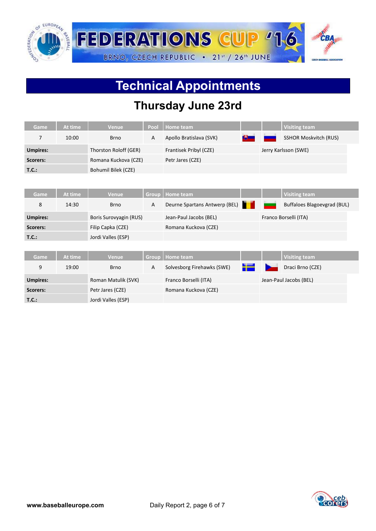

# **Technical Appointments**

### **Thursday June 23rd**

| Game            | At time | <b>Venue</b>           | Pool         | Home team                     |    | <b>Visiting team</b>               |  |
|-----------------|---------|------------------------|--------------|-------------------------------|----|------------------------------------|--|
| 7               | 10:00   | <b>Brno</b>            | A            | Apollo Bratislava (SVK)       | 8— | <b>SSHOR Moskvitch (RUS)</b>       |  |
| <b>Umpires:</b> |         | Thorston Roloff (GER)  |              | Frantisek Pribyl (CZE)        |    | Jerry Karlsson (SWE)               |  |
| <b>Scorers:</b> |         | Romana Kuckova (CZE)   |              | Petr Jares (CZE)              |    |                                    |  |
| T.C.:           |         | Bohumil Bilek (CZE)    |              |                               |    |                                    |  |
|                 |         |                        |              |                               |    |                                    |  |
| <b>Game</b>     | At time | <b>Venue</b>           | Group        | <b>Home team</b>              |    | <b>Visiting team</b>               |  |
| 8               | 14:30   | <b>Brno</b>            | A            | Deurne Spartans Antwerp (BEL) |    | <b>Buffaloes Blagoevgrad (BUL)</b> |  |
|                 |         |                        |              |                               |    |                                    |  |
| <b>Umpires:</b> |         | Boris Surovyagin (RUS) |              | Jean-Paul Jacobs (BEL)        |    | Franco Borselli (ITA)              |  |
| <b>Scorers:</b> |         | Filip Capka (CZE)      |              | Romana Kuckova (CZE)          |    |                                    |  |
| T.C.:           |         | Jordi Valles (ESP)     |              |                               |    |                                    |  |
|                 |         |                        |              |                               |    |                                    |  |
| Game            | At time | <b>Venue</b>           | <b>Group</b> | <b>Home team</b>              |    | <b>Visiting team</b>               |  |
| 9               | 19:00   | <b>Brno</b>            | $\mathsf{A}$ | Solvesborg Firehawks (SWE)    | 42 | Draci Brno (CZE)                   |  |
| <b>Umpires:</b> |         | Roman Matulik (SVK)    |              | Franco Borselli (ITA)         |    | Jean-Paul Jacobs (BEL)             |  |
| Scorers:        |         | Petr Jares (CZE)       |              | Romana Kuckova (CZE)          |    |                                    |  |